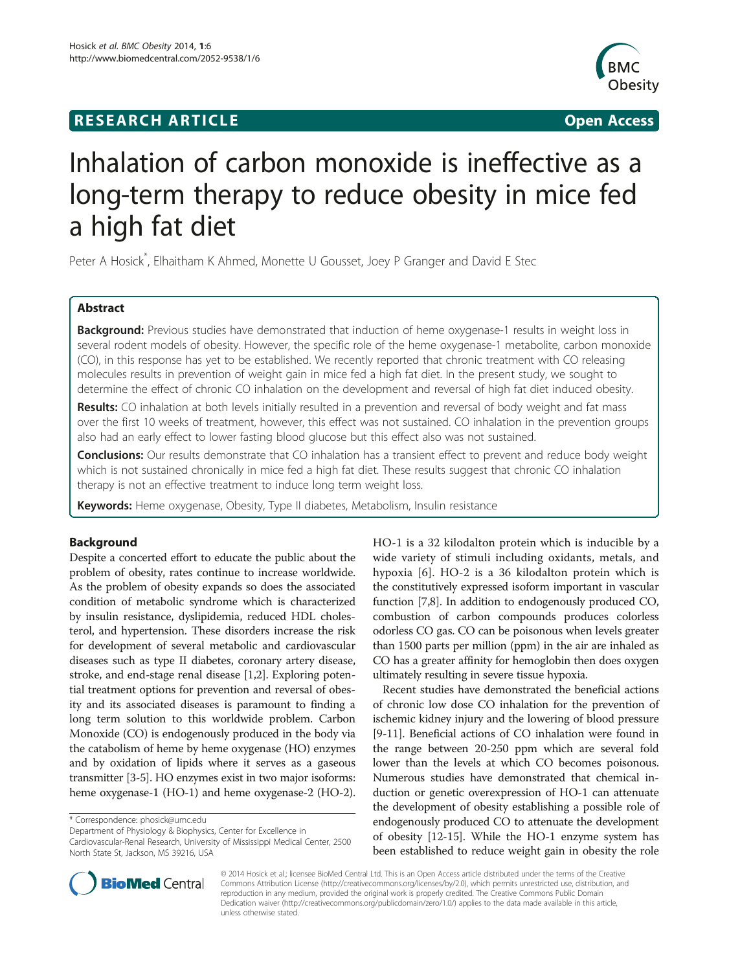## **RESEARCH ARTICLE Example 2014 CONSIDERING CONSIDERING CONSIDERING CONSIDERING CONSIDERING CONSIDERING CONSIDERING CONSIDERING CONSIDERING CONSIDERING CONSIDERING CONSIDERING CONSIDERING CONSIDERING CONSIDERING CONSIDE**



# Inhalation of carbon monoxide is ineffective as a long-term therapy to reduce obesity in mice fed a high fat diet

Peter A Hosick\* , Elhaitham K Ahmed, Monette U Gousset, Joey P Granger and David E Stec

## Abstract

Background: Previous studies have demonstrated that induction of heme oxygenase-1 results in weight loss in several rodent models of obesity. However, the specific role of the heme oxygenase-1 metabolite, carbon monoxide (CO), in this response has yet to be established. We recently reported that chronic treatment with CO releasing molecules results in prevention of weight gain in mice fed a high fat diet. In the present study, we sought to determine the effect of chronic CO inhalation on the development and reversal of high fat diet induced obesity.

Results: CO inhalation at both levels initially resulted in a prevention and reversal of body weight and fat mass over the first 10 weeks of treatment, however, this effect was not sustained. CO inhalation in the prevention groups also had an early effect to lower fasting blood glucose but this effect also was not sustained.

**Conclusions:** Our results demonstrate that CO inhalation has a transient effect to prevent and reduce body weight which is not sustained chronically in mice fed a high fat diet. These results suggest that chronic CO inhalation therapy is not an effective treatment to induce long term weight loss.

Keywords: Heme oxygenase, Obesity, Type II diabetes, Metabolism, Insulin resistance

#### Background

Despite a concerted effort to educate the public about the problem of obesity, rates continue to increase worldwide. As the problem of obesity expands so does the associated condition of metabolic syndrome which is characterized by insulin resistance, dyslipidemia, reduced HDL cholesterol, and hypertension. These disorders increase the risk for development of several metabolic and cardiovascular diseases such as type II diabetes, coronary artery disease, stroke, and end-stage renal disease [[1,2](#page-8-0)]. Exploring potential treatment options for prevention and reversal of obesity and its associated diseases is paramount to finding a long term solution to this worldwide problem. Carbon Monoxide (CO) is endogenously produced in the body via the catabolism of heme by heme oxygenase (HO) enzymes and by oxidation of lipids where it serves as a gaseous transmitter [\[3-5](#page-8-0)]. HO enzymes exist in two major isoforms: heme oxygenase-1 (HO-1) and heme oxygenase-2 (HO-2).

Department of Physiology & Biophysics, Center for Excellence in

Cardiovascular-Renal Research, University of Mississippi Medical Center, 2500 North State St, Jackson, MS 39216, USA

HO-1 is a 32 kilodalton protein which is inducible by a wide variety of stimuli including oxidants, metals, and hypoxia [[6\]](#page-8-0). HO-2 is a 36 kilodalton protein which is the constitutively expressed isoform important in vascular function [\[7,8](#page-8-0)]. In addition to endogenously produced CO, combustion of carbon compounds produces colorless odorless CO gas. CO can be poisonous when levels greater than 1500 parts per million (ppm) in the air are inhaled as CO has a greater affinity for hemoglobin then does oxygen ultimately resulting in severe tissue hypoxia.

Recent studies have demonstrated the beneficial actions of chronic low dose CO inhalation for the prevention of ischemic kidney injury and the lowering of blood pressure [[9-11\]](#page-8-0). Beneficial actions of CO inhalation were found in the range between 20-250 ppm which are several fold lower than the levels at which CO becomes poisonous. Numerous studies have demonstrated that chemical induction or genetic overexpression of HO-1 can attenuate the development of obesity establishing a possible role of endogenously produced CO to attenuate the development of obesity [\[12](#page-8-0)-[15](#page-8-0)]. While the HO-1 enzyme system has been established to reduce weight gain in obesity the role



© 2014 Hosick et al.; licensee BioMed Central Ltd. This is an Open Access article distributed under the terms of the Creative Commons Attribution License [\(http://creativecommons.org/licenses/by/2.0\)](http://creativecommons.org/licenses/by/2.0), which permits unrestricted use, distribution, and reproduction in any medium, provided the original work is properly credited. The Creative Commons Public Domain Dedication waiver [\(http://creativecommons.org/publicdomain/zero/1.0/](http://creativecommons.org/publicdomain/zero/1.0/)) applies to the data made available in this article, unless otherwise stated.

<sup>\*</sup> Correspondence: [phosick@umc.edu](mailto:phosick@umc.edu)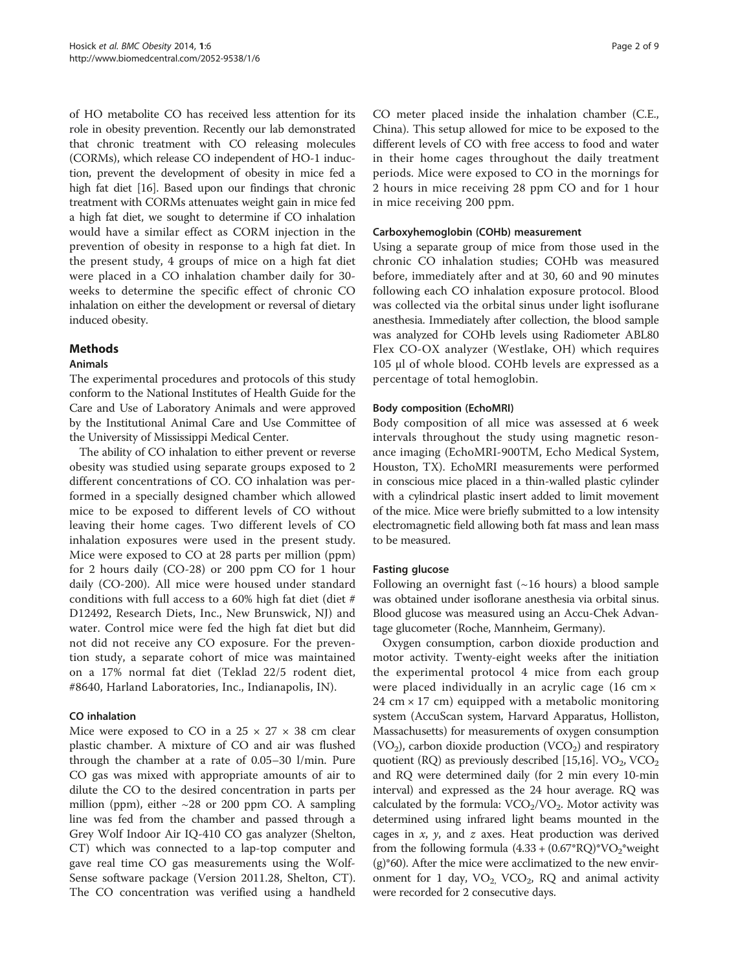of HO metabolite CO has received less attention for its role in obesity prevention. Recently our lab demonstrated that chronic treatment with CO releasing molecules (CORMs), which release CO independent of HO-1 induction, prevent the development of obesity in mice fed a high fat diet [\[16\]](#page-8-0). Based upon our findings that chronic treatment with CORMs attenuates weight gain in mice fed a high fat diet, we sought to determine if CO inhalation would have a similar effect as CORM injection in the prevention of obesity in response to a high fat diet. In the present study, 4 groups of mice on a high fat diet were placed in a CO inhalation chamber daily for 30 weeks to determine the specific effect of chronic CO inhalation on either the development or reversal of dietary induced obesity.

## Methods

#### Animals

The experimental procedures and protocols of this study conform to the National Institutes of Health Guide for the Care and Use of Laboratory Animals and were approved by the Institutional Animal Care and Use Committee of the University of Mississippi Medical Center.

The ability of CO inhalation to either prevent or reverse obesity was studied using separate groups exposed to 2 different concentrations of CO. CO inhalation was performed in a specially designed chamber which allowed mice to be exposed to different levels of CO without leaving their home cages. Two different levels of CO inhalation exposures were used in the present study. Mice were exposed to CO at 28 parts per million (ppm) for 2 hours daily (CO-28) or 200 ppm CO for 1 hour daily (CO-200). All mice were housed under standard conditions with full access to a 60% high fat diet (diet # D12492, Research Diets, Inc., New Brunswick, NJ) and water. Control mice were fed the high fat diet but did not did not receive any CO exposure. For the prevention study, a separate cohort of mice was maintained on a 17% normal fat diet (Teklad 22/5 rodent diet, #8640, Harland Laboratories, Inc., Indianapolis, IN).

## CO inhalation

Mice were exposed to CO in a  $25 \times 27 \times 38$  cm clear plastic chamber. A mixture of CO and air was flushed through the chamber at a rate of 0.05–30 l/min. Pure CO gas was mixed with appropriate amounts of air to dilute the CO to the desired concentration in parts per million (ppm), either  $\sim$ 28 or 200 ppm CO. A sampling line was fed from the chamber and passed through a Grey Wolf Indoor Air IQ-410 CO gas analyzer (Shelton, CT) which was connected to a lap-top computer and gave real time CO gas measurements using the Wolf-Sense software package (Version 2011.28, Shelton, CT). The CO concentration was verified using a handheld

CO meter placed inside the inhalation chamber (C.E., China). This setup allowed for mice to be exposed to the different levels of CO with free access to food and water in their home cages throughout the daily treatment periods. Mice were exposed to CO in the mornings for 2 hours in mice receiving 28 ppm CO and for 1 hour in mice receiving 200 ppm.

#### Carboxyhemoglobin (COHb) measurement

Using a separate group of mice from those used in the chronic CO inhalation studies; COHb was measured before, immediately after and at 30, 60 and 90 minutes following each CO inhalation exposure protocol. Blood was collected via the orbital sinus under light isoflurane anesthesia. Immediately after collection, the blood sample was analyzed for COHb levels using Radiometer ABL80 Flex CO-OX analyzer (Westlake, OH) which requires 105 μl of whole blood. COHb levels are expressed as a percentage of total hemoglobin.

## Body composition (EchoMRI)

Body composition of all mice was assessed at 6 week intervals throughout the study using magnetic resonance imaging (EchoMRI-900TM, Echo Medical System, Houston, TX). EchoMRI measurements were performed in conscious mice placed in a thin-walled plastic cylinder with a cylindrical plastic insert added to limit movement of the mice. Mice were briefly submitted to a low intensity electromagnetic field allowing both fat mass and lean mass to be measured.

#### Fasting glucose

Following an overnight fast  $(\sim 16$  hours) a blood sample was obtained under isoflorane anesthesia via orbital sinus. Blood glucose was measured using an Accu-Chek Advantage glucometer (Roche, Mannheim, Germany).

Oxygen consumption, carbon dioxide production and motor activity. Twenty-eight weeks after the initiation the experimental protocol 4 mice from each group were placed individually in an acrylic cage (16 cm  $\times$ 24 cm  $\times$  17 cm) equipped with a metabolic monitoring system (AccuScan system, Harvard Apparatus, Holliston, Massachusetts) for measurements of oxygen consumption  $(VO_2)$ , carbon dioxide production  $(VCO_2)$  and respiratory quotient (RQ) as previously described [\[15,16\]](#page-8-0).  $VO_2$ ,  $VCO_2$ and RQ were determined daily (for 2 min every 10-min interval) and expressed as the 24 hour average. RQ was calculated by the formula:  $VCO<sub>2</sub>/VO<sub>2</sub>$ . Motor activity was determined using infrared light beams mounted in the cages in  $x$ ,  $y$ , and  $z$  axes. Heat production was derived from the following formula  $(4.33 + (0.67 * RQ) * VO<sub>2</sub> * weight$  $(g)*60$ . After the mice were acclimatized to the new environment for 1 day,  $VO<sub>2</sub>$ ,  $VCO<sub>2</sub>$ , RQ and animal activity were recorded for 2 consecutive days.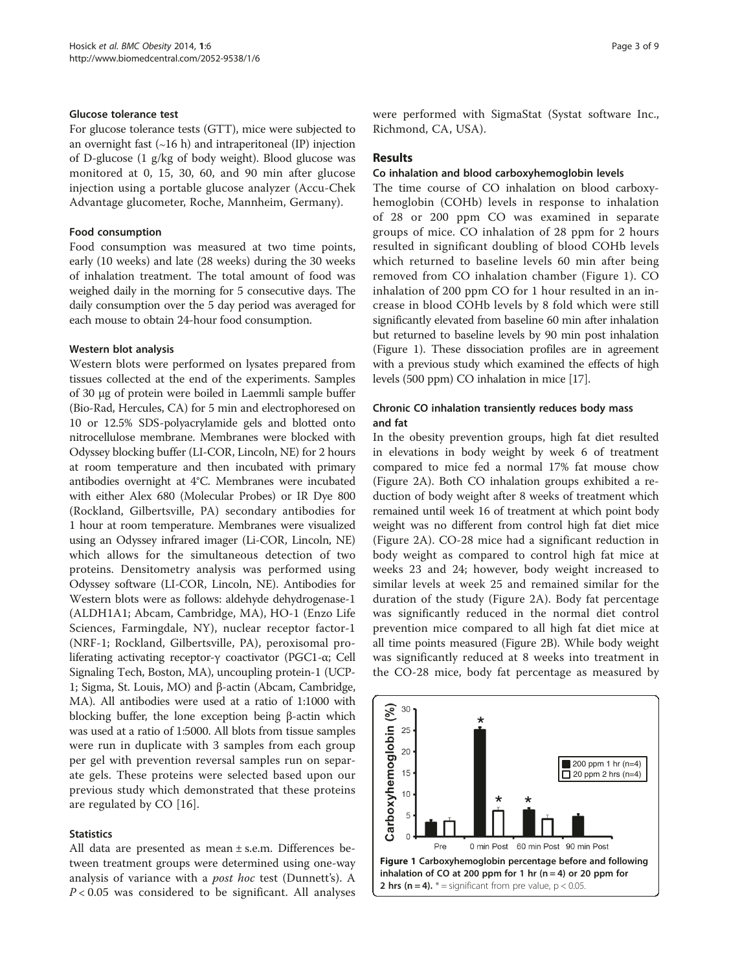#### Glucose tolerance test

For glucose tolerance tests (GTT), mice were subjected to an overnight fast (∼16 h) and intraperitoneal (IP) injection of D-glucose (1 g/kg of body weight). Blood glucose was monitored at 0, 15, 30, 60, and 90 min after glucose injection using a portable glucose analyzer (Accu-Chek Advantage glucometer, Roche, Mannheim, Germany).

#### Food consumption

Food consumption was measured at two time points, early (10 weeks) and late (28 weeks) during the 30 weeks of inhalation treatment. The total amount of food was weighed daily in the morning for 5 consecutive days. The daily consumption over the 5 day period was averaged for each mouse to obtain 24-hour food consumption.

#### Western blot analysis

Western blots were performed on lysates prepared from tissues collected at the end of the experiments. Samples of 30 μg of protein were boiled in Laemmli sample buffer (Bio-Rad, Hercules, CA) for 5 min and electrophoresed on 10 or 12.5% SDS-polyacrylamide gels and blotted onto nitrocellulose membrane. Membranes were blocked with Odyssey blocking buffer (LI-COR, Lincoln, NE) for 2 hours at room temperature and then incubated with primary antibodies overnight at 4°C. Membranes were incubated with either Alex 680 (Molecular Probes) or IR Dye 800 (Rockland, Gilbertsville, PA) secondary antibodies for 1 hour at room temperature. Membranes were visualized using an Odyssey infrared imager (Li-COR, Lincoln, NE) which allows for the simultaneous detection of two proteins. Densitometry analysis was performed using Odyssey software (LI-COR, Lincoln, NE). Antibodies for Western blots were as follows: aldehyde dehydrogenase-1 (ALDH1A1; Abcam, Cambridge, MA), HO-1 (Enzo Life Sciences, Farmingdale, NY), nuclear receptor factor-1 (NRF-1; Rockland, Gilbertsville, PA), peroxisomal proliferating activating receptor-γ coactivator (PGC1-α; Cell Signaling Tech, Boston, MA), uncoupling protein-1 (UCP-1; Sigma, St. Louis, MO) and β-actin (Abcam, Cambridge, MA). All antibodies were used at a ratio of 1:1000 with blocking buffer, the lone exception being β-actin which was used at a ratio of 1:5000. All blots from tissue samples were run in duplicate with 3 samples from each group per gel with prevention reversal samples run on separate gels. These proteins were selected based upon our previous study which demonstrated that these proteins are regulated by CO [\[16](#page-8-0)].

#### **Statistics**

All data are presented as mean ± s.e.m. Differences between treatment groups were determined using one-way analysis of variance with a *post hoc* test (Dunnett's). A  $P < 0.05$  was considered to be significant. All analyses were performed with SigmaStat (Systat software Inc., Richmond, CA, USA).

#### Results

#### Co inhalation and blood carboxyhemoglobin levels

The time course of CO inhalation on blood carboxyhemoglobin (COHb) levels in response to inhalation of 28 or 200 ppm CO was examined in separate groups of mice. CO inhalation of 28 ppm for 2 hours resulted in significant doubling of blood COHb levels which returned to baseline levels 60 min after being removed from CO inhalation chamber (Figure 1). CO inhalation of 200 ppm CO for 1 hour resulted in an increase in blood COHb levels by 8 fold which were still significantly elevated from baseline 60 min after inhalation but returned to baseline levels by 90 min post inhalation (Figure 1). These dissociation profiles are in agreement with a previous study which examined the effects of high levels (500 ppm) CO inhalation in mice [[17](#page-8-0)].

## Chronic CO inhalation transiently reduces body mass and fat

In the obesity prevention groups, high fat diet resulted in elevations in body weight by week 6 of treatment compared to mice fed a normal 17% fat mouse chow (Figure [2A](#page-3-0)). Both CO inhalation groups exhibited a reduction of body weight after 8 weeks of treatment which remained until week 16 of treatment at which point body weight was no different from control high fat diet mice (Figure [2A](#page-3-0)). CO-28 mice had a significant reduction in body weight as compared to control high fat mice at weeks 23 and 24; however, body weight increased to similar levels at week 25 and remained similar for the duration of the study (Figure [2A](#page-3-0)). Body fat percentage was significantly reduced in the normal diet control prevention mice compared to all high fat diet mice at all time points measured (Figure [2B](#page-3-0)). While body weight was significantly reduced at 8 weeks into treatment in the CO-28 mice, body fat percentage as measured by

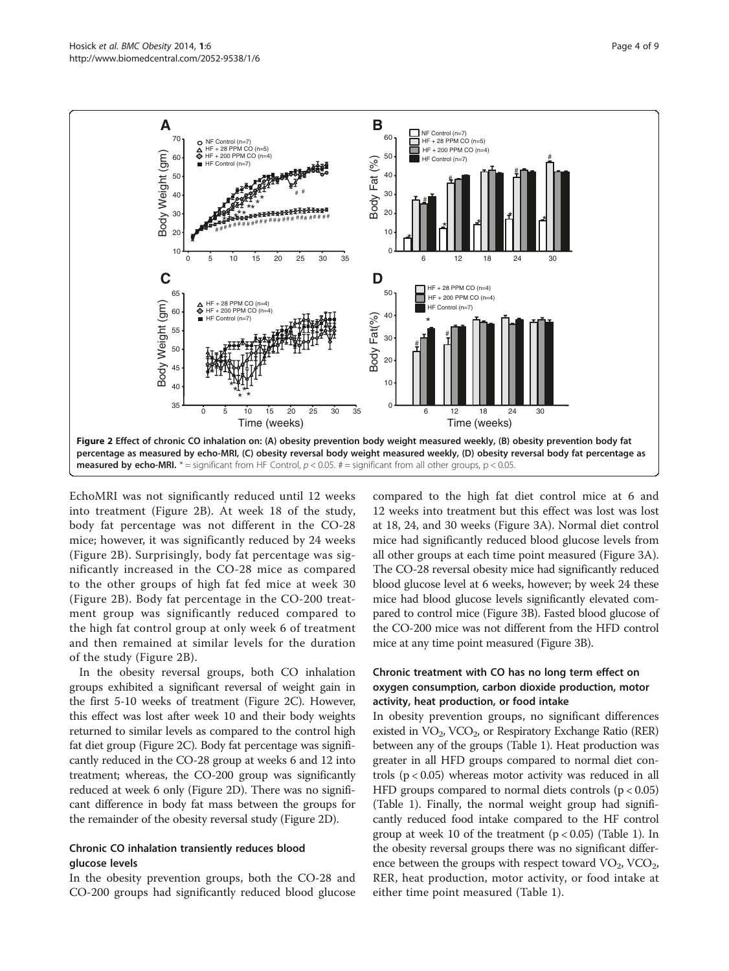<span id="page-3-0"></span>

EchoMRI was not significantly reduced until 12 weeks into treatment (Figure 2B). At week 18 of the study, body fat percentage was not different in the CO-28 mice; however, it was significantly reduced by 24 weeks (Figure 2B). Surprisingly, body fat percentage was significantly increased in the CO-28 mice as compared to the other groups of high fat fed mice at week 30 (Figure 2B). Body fat percentage in the CO-200 treatment group was significantly reduced compared to the high fat control group at only week 6 of treatment and then remained at similar levels for the duration of the study (Figure 2B).

In the obesity reversal groups, both CO inhalation groups exhibited a significant reversal of weight gain in the first 5-10 weeks of treatment (Figure 2C). However, this effect was lost after week 10 and their body weights returned to similar levels as compared to the control high fat diet group (Figure 2C). Body fat percentage was significantly reduced in the CO-28 group at weeks 6 and 12 into treatment; whereas, the CO-200 group was significantly reduced at week 6 only (Figure 2D). There was no significant difference in body fat mass between the groups for the remainder of the obesity reversal study (Figure 2D).

#### Chronic CO inhalation transiently reduces blood glucose levels

In the obesity prevention groups, both the CO-28 and CO-200 groups had significantly reduced blood glucose compared to the high fat diet control mice at 6 and 12 weeks into treatment but this effect was lost was lost at 18, 24, and 30 weeks (Figure [3A](#page-4-0)). Normal diet control mice had significantly reduced blood glucose levels from all other groups at each time point measured (Figure [3](#page-4-0)A). The CO-28 reversal obesity mice had significantly reduced blood glucose level at 6 weeks, however; by week 24 these mice had blood glucose levels significantly elevated compared to control mice (Figure [3B](#page-4-0)). Fasted blood glucose of the CO-200 mice was not different from the HFD control mice at any time point measured (Figure [3](#page-4-0)B).

## Chronic treatment with CO has no long term effect on oxygen consumption, carbon dioxide production, motor activity, heat production, or food intake

In obesity prevention groups, no significant differences existed in  $VO<sub>2</sub>$ , VCO<sub>2</sub>, or Respiratory Exchange Ratio (RER) between any of the groups (Table [1](#page-4-0)). Heat production was greater in all HFD groups compared to normal diet controls  $(p < 0.05)$  whereas motor activity was reduced in all HFD groups compared to normal diets controls  $(p < 0.05)$ (Table [1\)](#page-4-0). Finally, the normal weight group had significantly reduced food intake compared to the HF control group at week 10 of the treatment  $(p < 0.05)$  (Table [1\)](#page-4-0). In the obesity reversal groups there was no significant difference between the groups with respect toward  $VO_2$ ,  $VCO_2$ , RER, heat production, motor activity, or food intake at either time point measured (Table [1](#page-4-0)).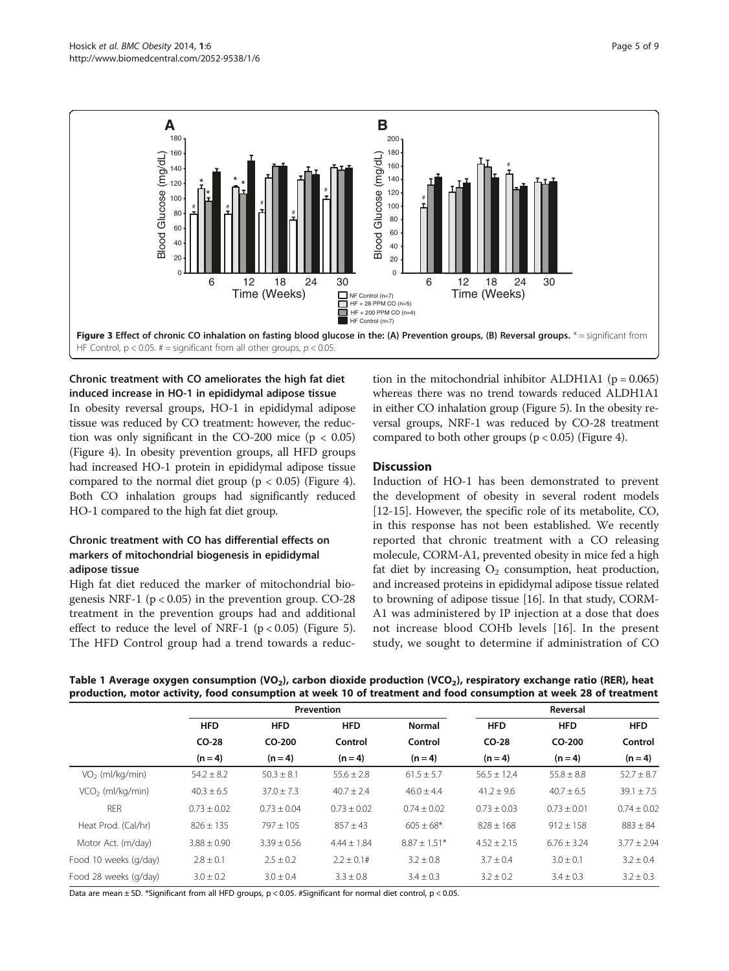<span id="page-4-0"></span>

## Chronic treatment with CO ameliorates the high fat diet induced increase in HO-1 in epididymal adipose tissue

In obesity reversal groups, HO-1 in epididymal adipose tissue was reduced by CO treatment: however, the reduction was only significant in the  $CO-200$  mice ( $p < 0.05$ ) (Figure [4\)](#page-5-0). In obesity prevention groups, all HFD groups had increased HO-1 protein in epididymal adipose tissue compared to the normal diet group ( $p < 0.05$ ) (Figure [4](#page-5-0)). Both CO inhalation groups had significantly reduced HO-1 compared to the high fat diet group.

#### Chronic treatment with CO has differential effects on markers of mitochondrial biogenesis in epididymal adipose tissue

High fat diet reduced the marker of mitochondrial biogenesis NRF-1 ( $p < 0.05$ ) in the prevention group. CO-28 treatment in the prevention groups had and additional effect to reduce the level of NRF-1 ( $p < 0.05$ ) (Figure [5](#page-6-0)). The HFD Control group had a trend towards a reduc-

tion in the mitochondrial inhibitor ALDH1A1 ( $p = 0.065$ ) whereas there was no trend towards reduced ALDH1A1 in either CO inhalation group (Figure [5](#page-6-0)). In the obesity reversal groups, NRF-1 was reduced by CO-28 treatment compared to both other groups  $(p < 0.05)$  (Figure [4\)](#page-5-0).

#### **Discussion**

Induction of HO-1 has been demonstrated to prevent the development of obesity in several rodent models [[12-15](#page-8-0)]. However, the specific role of its metabolite, CO, in this response has not been established. We recently reported that chronic treatment with a CO releasing molecule, CORM-A1, prevented obesity in mice fed a high fat diet by increasing  $O_2$  consumption, heat production, and increased proteins in epididymal adipose tissue related to browning of adipose tissue [\[16](#page-8-0)]. In that study, CORM-A1 was administered by IP injection at a dose that does not increase blood COHb levels [\[16](#page-8-0)]. In the present study, we sought to determine if administration of CO

|  |  | Table 1 Average oxygen consumption (VO <sub>2</sub> ), carbon dioxide production (VCO <sub>2</sub> ), respiratory exchange ratio (RER), heat |  |
|--|--|----------------------------------------------------------------------------------------------------------------------------------------------|--|
|  |  | production, motor activity, food consumption at week 10 of treatment and food consumption at week 28 of treatment                            |  |

|                       |                 |                 | Prevention      | Reversal         |                 |                 |                 |
|-----------------------|-----------------|-----------------|-----------------|------------------|-----------------|-----------------|-----------------|
|                       | <b>HFD</b>      | <b>HFD</b>      | <b>HFD</b>      | <b>Normal</b>    | <b>HFD</b>      | <b>HFD</b>      | <b>HFD</b>      |
|                       | $CO-28$         | $CO-200$        | Control         | Control          | $CO-28$         | $CO-200$        | Control         |
|                       | $(n = 4)$       | $(n = 4)$       | $(n = 4)$       | $(n = 4)$        | $(n = 4)$       | $(n = 4)$       | $(n = 4)$       |
| $VO2$ (ml/kg/min)     | $54.2 \pm 8.2$  | $50.3 \pm 8.1$  | $55.6 \pm 2.8$  | $61.5 \pm 5.7$   | $56.5 \pm 12.4$ | $55.8 \pm 8.8$  | $52.7 \pm 8.7$  |
| $VCO2$ (ml/kg/min)    | $40.3 \pm 6.5$  | $37.0 \pm 7.3$  | $40.7 \pm 2.4$  | $46.0 \pm 4.4$   | $41.2 \pm 9.6$  | $40.7 \pm 6.5$  | $39.1 \pm 7.5$  |
| <b>RFR</b>            | $0.73 \pm 0.02$ | $0.73 \pm 0.04$ | $0.73 \pm 0.02$ | $0.74 \pm 0.02$  | $0.73 \pm 0.03$ | $0.73 \pm 0.01$ | $0.74 \pm 0.02$ |
| Heat Prod. (Cal/hr)   | $826 \pm 135$   | $797 \pm 105$   | $857 \pm 43$    | $605 \pm 68*$    | $828 \pm 168$   | $912 \pm 158$   | $883 \pm 84$    |
| Motor Act. (m/day)    | $3.88 \pm 0.90$ | $3.39 \pm 0.56$ | $4.44 \pm 1.84$ | $8.87 \pm 1.51*$ | $4.52 \pm 2.15$ | $6.76 \pm 3.24$ | $3.77 \pm 2.94$ |
| Food 10 weeks (g/day) | $2.8 \pm 0.1$   | $2.5 \pm 0.2$   | $2.2 \pm 0.1$ # | $3.2 \pm 0.8$    | $3.7 \pm 0.4$   | $3.0 \pm 0.1$   | $3.2 \pm 0.4$   |
| Food 28 weeks (g/day) | $3.0 \pm 0.2$   | $3.0 \pm 0.4$   | $3.3 \pm 0.8$   | $3.4 \pm 0.3$    | $3.2 \pm 0.2$   | $3.4 \pm 0.3$   | $3.2 \pm 0.3$   |

Data are mean ± SD. \*Significant from all HFD groups, p < 0.05. #Significant for normal diet control, p < 0.05.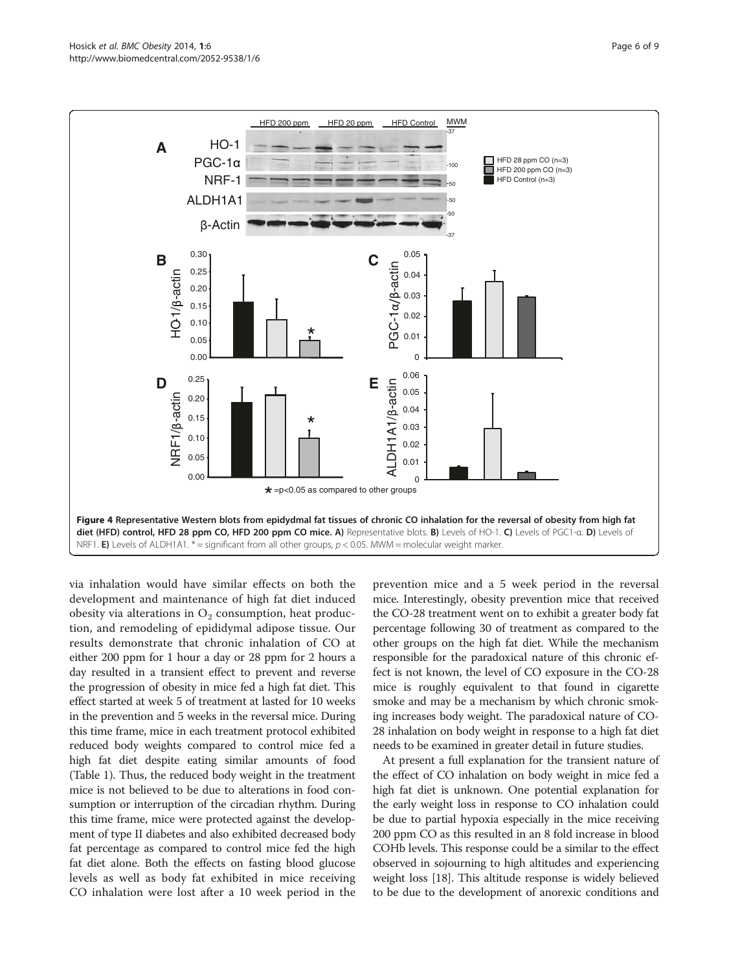<span id="page-5-0"></span>

via inhalation would have similar effects on both the development and maintenance of high fat diet induced obesity via alterations in  $O_2$  consumption, heat production, and remodeling of epididymal adipose tissue. Our results demonstrate that chronic inhalation of CO at either 200 ppm for 1 hour a day or 28 ppm for 2 hours a day resulted in a transient effect to prevent and reverse the progression of obesity in mice fed a high fat diet. This effect started at week 5 of treatment at lasted for 10 weeks in the prevention and 5 weeks in the reversal mice. During this time frame, mice in each treatment protocol exhibited reduced body weights compared to control mice fed a high fat diet despite eating similar amounts of food (Table [1](#page-4-0)). Thus, the reduced body weight in the treatment mice is not believed to be due to alterations in food consumption or interruption of the circadian rhythm. During this time frame, mice were protected against the development of type II diabetes and also exhibited decreased body fat percentage as compared to control mice fed the high fat diet alone. Both the effects on fasting blood glucose levels as well as body fat exhibited in mice receiving CO inhalation were lost after a 10 week period in the

prevention mice and a 5 week period in the reversal mice. Interestingly, obesity prevention mice that received the CO-28 treatment went on to exhibit a greater body fat percentage following 30 of treatment as compared to the other groups on the high fat diet. While the mechanism responsible for the paradoxical nature of this chronic effect is not known, the level of CO exposure in the CO-28 mice is roughly equivalent to that found in cigarette smoke and may be a mechanism by which chronic smoking increases body weight. The paradoxical nature of CO-28 inhalation on body weight in response to a high fat diet needs to be examined in greater detail in future studies.

At present a full explanation for the transient nature of the effect of CO inhalation on body weight in mice fed a high fat diet is unknown. One potential explanation for the early weight loss in response to CO inhalation could be due to partial hypoxia especially in the mice receiving 200 ppm CO as this resulted in an 8 fold increase in blood COHb levels. This response could be a similar to the effect observed in sojourning to high altitudes and experiencing weight loss [\[18\]](#page-8-0). This altitude response is widely believed to be due to the development of anorexic conditions and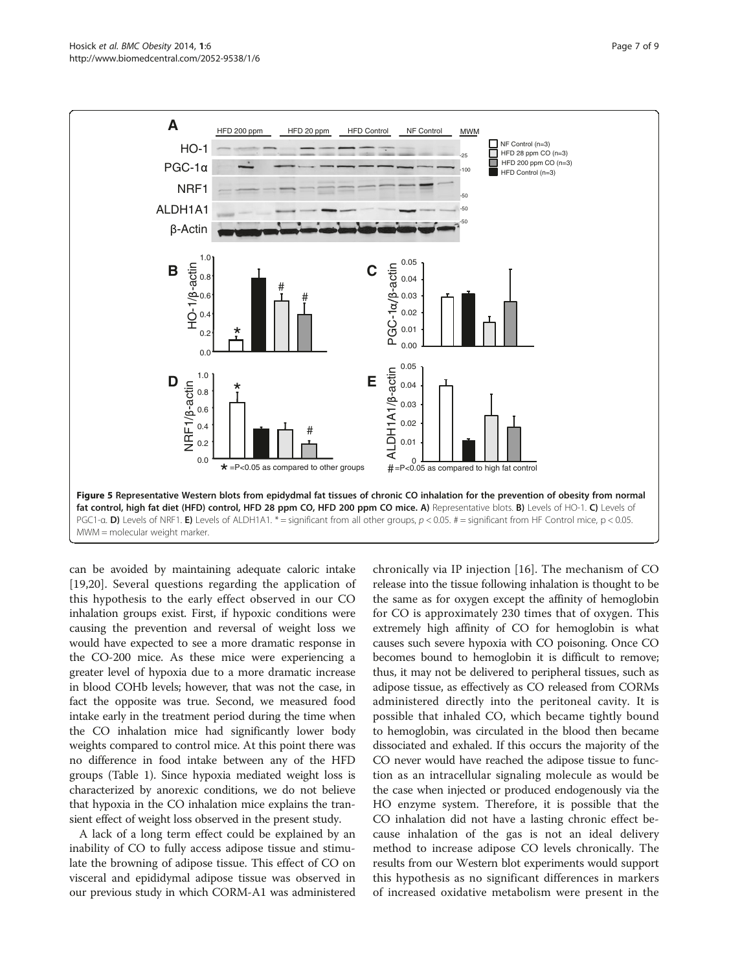<span id="page-6-0"></span>

can be avoided by maintaining adequate caloric intake [[19,20](#page-8-0)]. Several questions regarding the application of this hypothesis to the early effect observed in our CO inhalation groups exist. First, if hypoxic conditions were causing the prevention and reversal of weight loss we would have expected to see a more dramatic response in the CO-200 mice. As these mice were experiencing a greater level of hypoxia due to a more dramatic increase in blood COHb levels; however, that was not the case, in fact the opposite was true. Second, we measured food intake early in the treatment period during the time when the CO inhalation mice had significantly lower body weights compared to control mice. At this point there was no difference in food intake between any of the HFD groups (Table [1](#page-4-0)). Since hypoxia mediated weight loss is characterized by anorexic conditions, we do not believe that hypoxia in the CO inhalation mice explains the transient effect of weight loss observed in the present study.

A lack of a long term effect could be explained by an inability of CO to fully access adipose tissue and stimulate the browning of adipose tissue. This effect of CO on visceral and epididymal adipose tissue was observed in our previous study in which CORM-A1 was administered chronically via IP injection [[16\]](#page-8-0). The mechanism of CO release into the tissue following inhalation is thought to be the same as for oxygen except the affinity of hemoglobin for CO is approximately 230 times that of oxygen. This extremely high affinity of CO for hemoglobin is what causes such severe hypoxia with CO poisoning. Once CO becomes bound to hemoglobin it is difficult to remove; thus, it may not be delivered to peripheral tissues, such as adipose tissue, as effectively as CO released from CORMs administered directly into the peritoneal cavity. It is possible that inhaled CO, which became tightly bound to hemoglobin, was circulated in the blood then became dissociated and exhaled. If this occurs the majority of the CO never would have reached the adipose tissue to function as an intracellular signaling molecule as would be the case when injected or produced endogenously via the HO enzyme system. Therefore, it is possible that the CO inhalation did not have a lasting chronic effect because inhalation of the gas is not an ideal delivery method to increase adipose CO levels chronically. The results from our Western blot experiments would support this hypothesis as no significant differences in markers of increased oxidative metabolism were present in the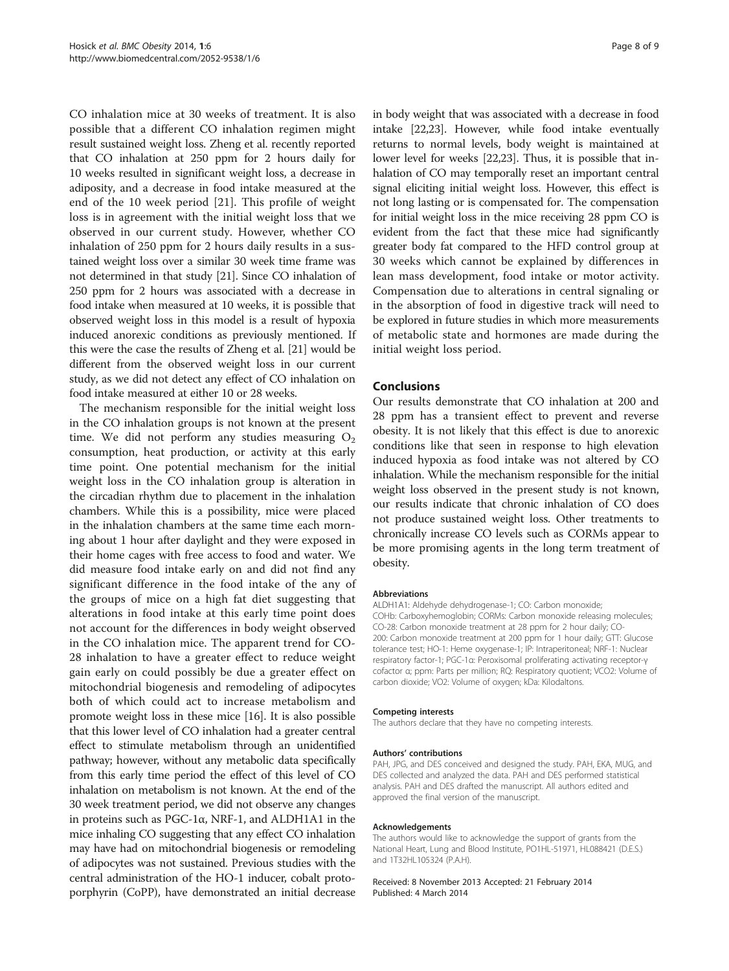CO inhalation mice at 30 weeks of treatment. It is also possible that a different CO inhalation regimen might result sustained weight loss. Zheng et al. recently reported that CO inhalation at 250 ppm for 2 hours daily for 10 weeks resulted in significant weight loss, a decrease in adiposity, and a decrease in food intake measured at the end of the 10 week period [[21](#page-8-0)]. This profile of weight loss is in agreement with the initial weight loss that we observed in our current study. However, whether CO inhalation of 250 ppm for 2 hours daily results in a sustained weight loss over a similar 30 week time frame was not determined in that study [[21](#page-8-0)]. Since CO inhalation of 250 ppm for 2 hours was associated with a decrease in food intake when measured at 10 weeks, it is possible that observed weight loss in this model is a result of hypoxia induced anorexic conditions as previously mentioned. If this were the case the results of Zheng et al. [\[21\]](#page-8-0) would be different from the observed weight loss in our current study, as we did not detect any effect of CO inhalation on food intake measured at either 10 or 28 weeks.

The mechanism responsible for the initial weight loss in the CO inhalation groups is not known at the present time. We did not perform any studies measuring  $O_2$ consumption, heat production, or activity at this early time point. One potential mechanism for the initial weight loss in the CO inhalation group is alteration in the circadian rhythm due to placement in the inhalation chambers. While this is a possibility, mice were placed in the inhalation chambers at the same time each morning about 1 hour after daylight and they were exposed in their home cages with free access to food and water. We did measure food intake early on and did not find any significant difference in the food intake of the any of the groups of mice on a high fat diet suggesting that alterations in food intake at this early time point does not account for the differences in body weight observed in the CO inhalation mice. The apparent trend for CO-28 inhalation to have a greater effect to reduce weight gain early on could possibly be due a greater effect on mitochondrial biogenesis and remodeling of adipocytes both of which could act to increase metabolism and promote weight loss in these mice [[16](#page-8-0)]. It is also possible that this lower level of CO inhalation had a greater central effect to stimulate metabolism through an unidentified pathway; however, without any metabolic data specifically from this early time period the effect of this level of CO inhalation on metabolism is not known. At the end of the 30 week treatment period, we did not observe any changes in proteins such as PGC-1α, NRF-1, and ALDH1A1 in the mice inhaling CO suggesting that any effect CO inhalation may have had on mitochondrial biogenesis or remodeling of adipocytes was not sustained. Previous studies with the central administration of the HO-1 inducer, cobalt protoporphyrin (CoPP), have demonstrated an initial decrease

in body weight that was associated with a decrease in food intake [[22,23\]](#page-8-0). However, while food intake eventually returns to normal levels, body weight is maintained at lower level for weeks [[22,23\]](#page-8-0). Thus, it is possible that inhalation of CO may temporally reset an important central signal eliciting initial weight loss. However, this effect is not long lasting or is compensated for. The compensation for initial weight loss in the mice receiving 28 ppm CO is evident from the fact that these mice had significantly greater body fat compared to the HFD control group at 30 weeks which cannot be explained by differences in lean mass development, food intake or motor activity. Compensation due to alterations in central signaling or in the absorption of food in digestive track will need to be explored in future studies in which more measurements of metabolic state and hormones are made during the initial weight loss period.

#### Conclusions

Our results demonstrate that CO inhalation at 200 and 28 ppm has a transient effect to prevent and reverse obesity. It is not likely that this effect is due to anorexic conditions like that seen in response to high elevation induced hypoxia as food intake was not altered by CO inhalation. While the mechanism responsible for the initial weight loss observed in the present study is not known, our results indicate that chronic inhalation of CO does not produce sustained weight loss. Other treatments to chronically increase CO levels such as CORMs appear to be more promising agents in the long term treatment of obesity.

#### Abbreviations

ALDH1A1: Aldehyde dehydrogenase-1; CO: Carbon monoxide; COHb: Carboxyhemoglobin; CORMs: Carbon monoxide releasing molecules; CO-28: Carbon monoxide treatment at 28 ppm for 2 hour daily; CO-200: Carbon monoxide treatment at 200 ppm for 1 hour daily; GTT: Glucose tolerance test; HO-1: Heme oxygenase-1; IP: Intraperitoneal; NRF-1: Nuclear respiratory factor-1; PGC-1α: Peroxisomal proliferating activating receptor-γ cofactor α; ppm: Parts per million; RQ: Respiratory quotient; VCO2: Volume of carbon dioxide; VO2: Volume of oxygen; kDa: Kilodaltons.

#### Competing interests

The authors declare that they have no competing interests.

#### Authors' contributions

PAH, JPG, and DES conceived and designed the study. PAH, EKA, MUG, and DES collected and analyzed the data. PAH and DES performed statistical analysis. PAH and DES drafted the manuscript. All authors edited and approved the final version of the manuscript.

#### Acknowledgements

The authors would like to acknowledge the support of grants from the National Heart, Lung and Blood Institute, PO1HL-51971, HL088421 (D.E.S.) and 1T32HL105324 (P.A.H).

Received: 8 November 2013 Accepted: 21 February 2014 Published: 4 March 2014